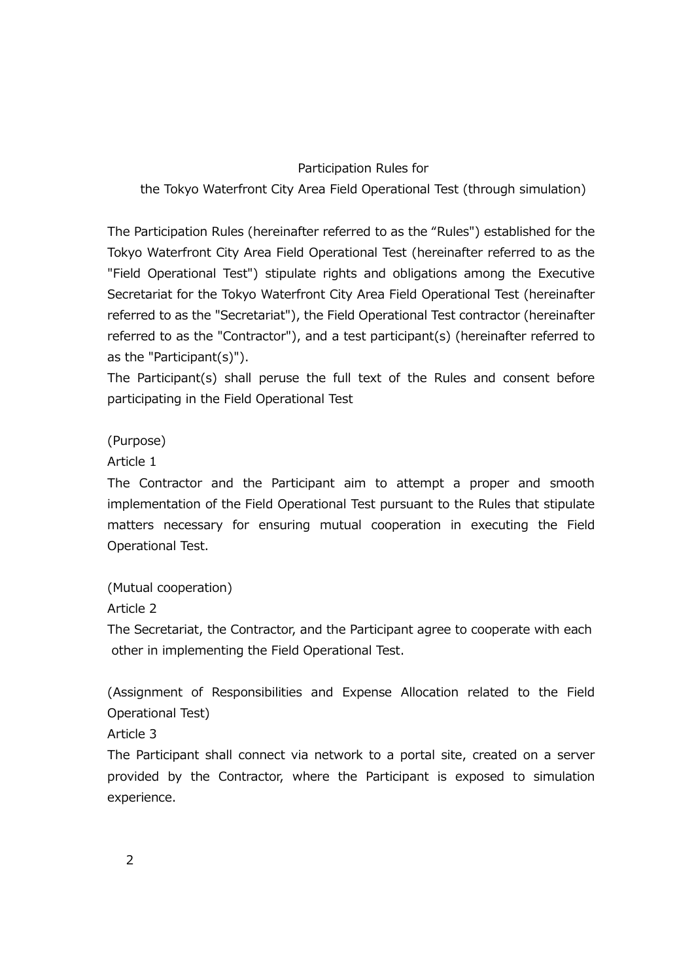#### Participation Rules for

the Tokyo Waterfront City Area Field Operational Test (through simulation)

The Participation Rules (hereinafter referred to as the "Rules") established for the Tokyo Waterfront City Area Field Operational Test (hereinafter referred to as the "Field Operational Test") stipulate rights and obligations among the Executive Secretariat for the Tokyo Waterfront City Area Field Operational Test (hereinafter referred to as the "Secretariat"), the Field Operational Test contractor (hereinafter referred to as the "Contractor"), and a test participant(s) (hereinafter referred to as the "Participant(s)").

The Participant(s) shall peruse the full text of the Rules and consent before participating in the Field Operational Test

(Purpose)

Article 1

The Contractor and the Participant aim to attempt a proper and smooth implementation of the Field Operational Test pursuant to the Rules that stipulate matters necessary for ensuring mutual cooperation in executing the Field Operational Test.

(Mutual cooperation)

Article 2

The Secretariat, the Contractor, and the Participant agree to cooperate with each other in implementing the Field Operational Test.

(Assignment of Responsibilities and Expense Allocation related to the Field Operational Test)

Article 3

The Participant shall connect via network to a portal site, created on a server provided by the Contractor, where the Participant is exposed to simulation experience.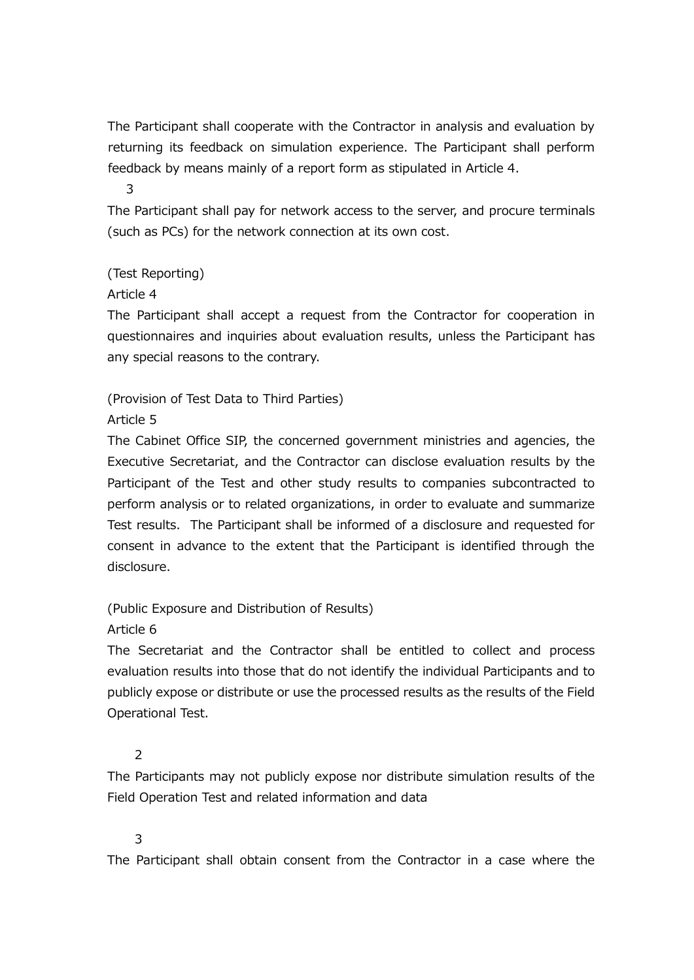The Participant shall cooperate with the Contractor in analysis and evaluation by returning its feedback on simulation experience. The Participant shall perform feedback by means mainly of a report form as stipulated in Article 4.

3

The Participant shall pay for network access to the server, and procure terminals (such as PCs) for the network connection at its own cost.

(Test Reporting)

Article 4

The Participant shall accept a request from the Contractor for cooperation in questionnaires and inquiries about evaluation results, unless the Participant has any special reasons to the contrary.

(Provision of Test Data to Third Parties)

Article 5

The Cabinet Office SIP, the concerned government ministries and agencies, the Executive Secretariat, and the Contractor can disclose evaluation results by the Participant of the Test and other study results to companies subcontracted to perform analysis or to related organizations, in order to evaluate and summarize Test results. The Participant shall be informed of a disclosure and requested for consent in advance to the extent that the Participant is identified through the disclosure.

(Public Exposure and Distribution of Results)

Article 6

The Secretariat and the Contractor shall be entitled to collect and process evaluation results into those that do not identify the individual Participants and to publicly expose or distribute or use the processed results as the results of the Field Operational Test.

2

The Participants may not publicly expose nor distribute simulation results of the Field Operation Test and related information and data

3

The Participant shall obtain consent from the Contractor in a case where the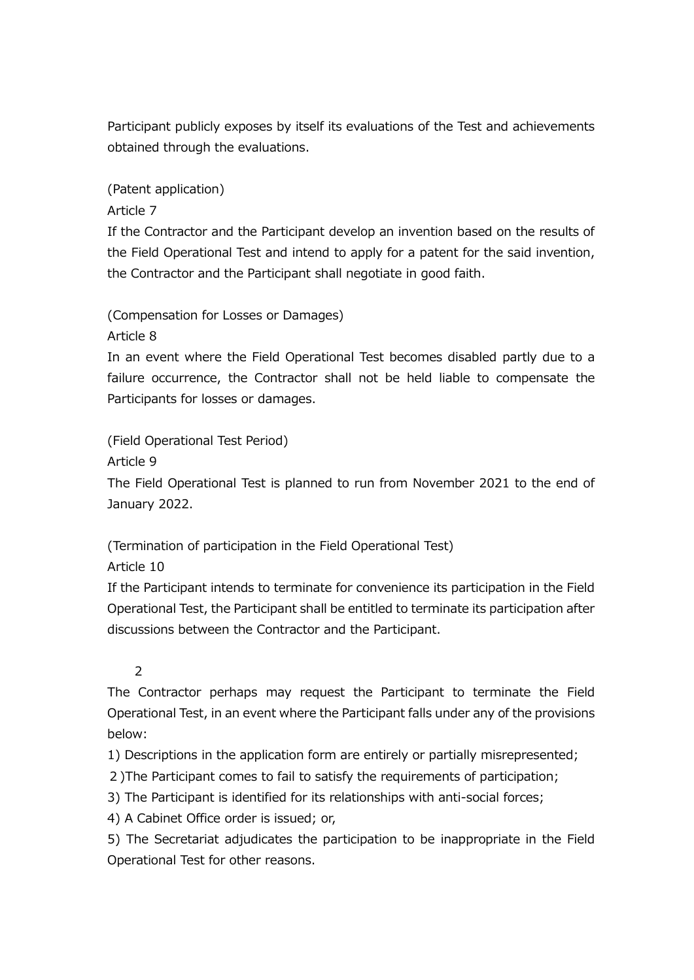Participant publicly exposes by itself its evaluations of the Test and achievements obtained through the evaluations.

(Patent application)

Article 7

If the Contractor and the Participant develop an invention based on the results of the Field Operational Test and intend to apply for a patent for the said invention, the Contractor and the Participant shall negotiate in good faith.

(Compensation for Losses or Damages)

Article 8

In an event where the Field Operational Test becomes disabled partly due to a failure occurrence, the Contractor shall not be held liable to compensate the Participants for losses or damages.

(Field Operational Test Period)

Article 9

The Field Operational Test is planned to run from November 2021 to the end of January 2022.

(Termination of participation in the Field Operational Test)

Article 10

If the Participant intends to terminate for convenience its participation in the Field Operational Test, the Participant shall be entitled to terminate its participation after discussions between the Contractor and the Participant.

# 2

The Contractor perhaps may request the Participant to terminate the Field Operational Test, in an event where the Participant falls under any of the provisions below:

1) Descriptions in the application form are entirely or partially misrepresented;

- 2)The Participant comes to fail to satisfy the requirements of participation;
- 3) The Participant is identified for its relationships with anti-social forces;
- 4) A Cabinet Office order is issued; or,

5) The Secretariat adjudicates the participation to be inappropriate in the Field Operational Test for other reasons.